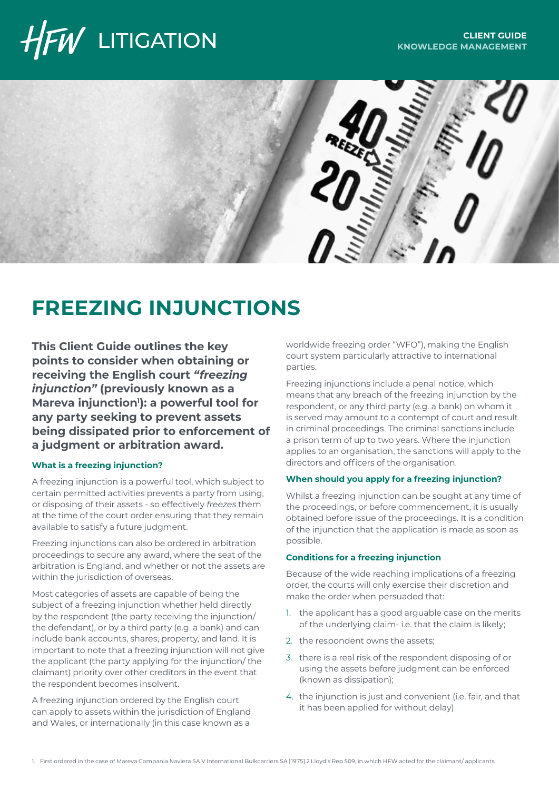# $\bar{W}$  LITIGATION



## **FREEZING INJUNCTIONS**

**This Client Guide outlines the key points to consider when obtaining or receiving the English court** *"freezing injunction"* **(previously known as a**  Mareva injunction<sup>1</sup>): a powerful tool for **any party seeking to prevent assets being dissipated prior to enforcement of a judgment or arbitration award.** 

## **What is a freezing injunction?**

A freezing injunction is a powerful tool, which subject to certain permitted activities prevents a party from using, or disposing of their assets - so effectively *freezes* them at the time of the court order ensuring that they remain available to satisfy a future judgment.

Freezing injunctions can also be ordered in arbitration proceedings to secure any award, where the seat of the arbitration is England, and whether or not the assets are within the jurisdiction of overseas.

Most categories of assets are capable of being the subject of a freezing injunction whether held directly by the respondent (the party receiving the injunction/ the defendant), or by a third party (e.g. a bank) and can include bank accounts, shares, property, and land. It is important to note that a freezing injunction will not give the applicant (the party applying for the injunction/ the claimant) priority over other creditors in the event that the respondent becomes insolvent.

A freezing injunction ordered by the English court can apply to assets within the jurisdiction of England and Wales, or internationally (in this case known as a

worldwide freezing order "WFO"), making the English court system particularly attractive to international parties.

Freezing injunctions include a penal notice, which means that any breach of the freezing injunction by the respondent, or any third party (e.g. a bank) on whom it is served may amount to a contempt of court and result in criminal proceedings. The criminal sanctions include a prison term of up to two years. Where the injunction applies to an organisation, the sanctions will apply to the directors and officers of the organisation.

## **When should you apply for a freezing injunction?**

Whilst a freezing injunction can be sought at any time of the proceedings, or before commencement, it is usually obtained before issue of the proceedings. It is a condition of the injunction that the application is made as soon as possible.

## **Conditions for a freezing injunction**

Because of the wide reaching implications of a freezing order, the courts will only exercise their discretion and make the order when persuaded that:

- 1. the applicant has a good arguable case on the merits of the underlying claim- i.e. that the claim is likely;
- 2. the respondent owns the assets;
- 3. there is a real risk of the respondent disposing of or using the assets before judgment can be enforced (known as dissipation);
- 4. the injunction is just and convenient (i.e. fair, and that it has been applied for without delay)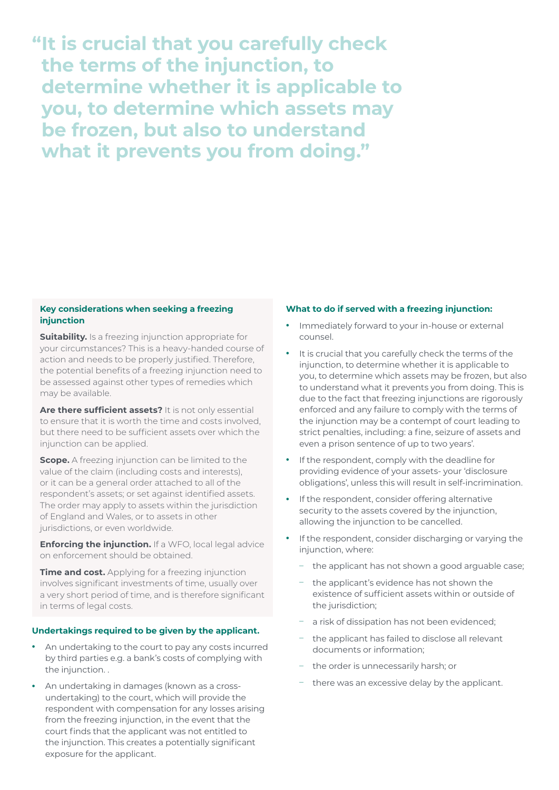**"It is crucial that you carefully check the terms of the injunction, to determine whether it is applicable to you, to determine which assets may be frozen, but also to understand what it prevents you from doing."** 

## **Key considerations when seeking a freezing injunction**

**Suitability.** Is a freezing injunction appropriate for your circumstances? This is a heavy-handed course of action and needs to be properly justified. Therefore, the potential benefits of a freezing injunction need to be assessed against other types of remedies which may be available.

**Are there sufficient assets?** It is not only essential to ensure that it is worth the time and costs involved, but there need to be sufficient assets over which the injunction can be applied.

**Scope.** A freezing injunction can be limited to the value of the claim (including costs and interests), or it can be a general order attached to all of the respondent's assets; or set against identified assets. The order may apply to assets within the jurisdiction of England and Wales, or to assets in other jurisdictions, or even worldwide.

**Enforcing the injunction.** If a WFO, local legal advice on enforcement should be obtained.

**Time and cost.** Applying for a freezing injunction involves significant investments of time, usually over a very short period of time, and is therefore significant in terms of legal costs.

## **Undertakings required to be given by the applicant.**

- **•** An undertaking to the court to pay any costs incurred by third parties e.g. a bank's costs of complying with the injunction...
- **•** An undertaking in damages (known as a crossundertaking) to the court, which will provide the respondent with compensation for any losses arising from the freezing injunction, in the event that the court finds that the applicant was not entitled to the injunction. This creates a potentially significant exposure for the applicant.

## **What to do if served with a freezing injunction:**

- **•** Immediately forward to your in-house or external counsel.
- **•** It is crucial that you carefully check the terms of the injunction, to determine whether it is applicable to you, to determine which assets may be frozen, but also to understand what it prevents you from doing. This is due to the fact that freezing injunctions are rigorously enforced and any failure to comply with the terms of the injunction may be a contempt of court leading to strict penalties, including: a fine, seizure of assets and even a prison sentence of up to two years'.
- **•** If the respondent, comply with the deadline for providing evidence of your assets- your 'disclosure obligations', unless this will result in self-incrimination.
- **•** If the respondent, consider offering alternative security to the assets covered by the injunction, allowing the injunction to be cancelled.
- **•** If the respondent, consider discharging or varying the injunction, where:
	- the applicant has not shown a good arguable case;
	- the applicant's evidence has not shown the existence of sufficient assets within or outside of the jurisdiction;
	- a risk of dissipation has not been evidenced:
	- the applicant has failed to disclose all relevant documents or information;
	- the order is unnecessarily harsh; or
	- there was an excessive delay by the applicant.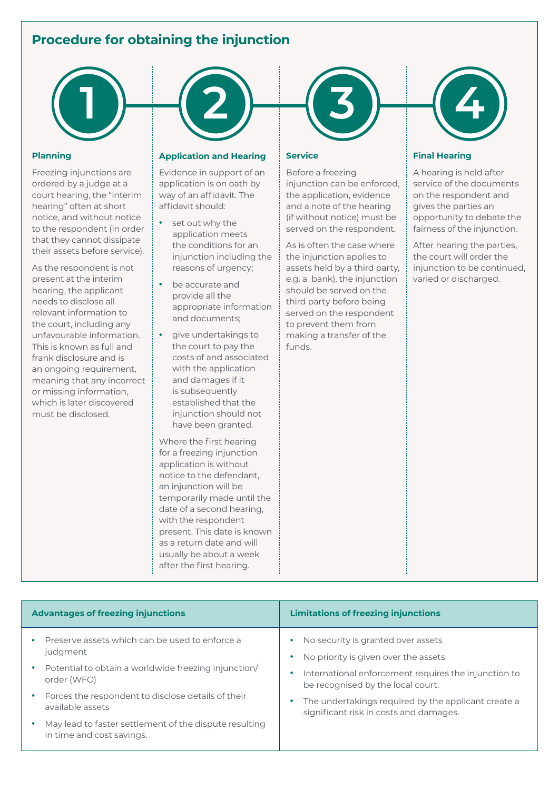## **Procedure for obtaining the injunction**



### **Planning**

Freezing injunctions are ordered by a judge at a court hearing, the "interim hearing" often at short notice, and without notice to the respondent (in order that they cannot dissipate their assets before service).

As the respondent is not present at the interim hearing, the applicant needs to disclose all relevant information to the court, including any unfavourable information. This is known as full and frank disclosure and is an ongoing requirement, meaning that any incorrect or missing information, which is later discovered must be disclosed.

## **Application and Hearing**

Evidence in support of an application is on oath by way of an affidavit. The affidavit should:

- **•** set out why the application meets the conditions for an injunction including the reasons of urgency;
- **•** be accurate and provide all the appropriate information and documents;
- **•** give undertakings to the court to pay the costs of and associated with the application and damages if it is subsequently established that the injunction should not have been granted.

Where the first hearing for a freezing injunction application is without notice to the defendant, an injunction will be temporarily made until the date of a second hearing, with the respondent present. This date is known as a return date and will usually be about a week after the first hearing.



### **Service**

Before a freezing injunction can be enforced, the application, evidence and a note of the hearing (if without notice) must be served on the respondent.

As is often the case where the injunction applies to assets held by a third party, e.g. a bank), the injunction should be served on the third party before being served on the respondent to prevent them from making a transfer of the funds.



## **Final Hearing**

A hearing is held after service of the documents on the respondent and gives the parties an opportunity to debate the fairness of the injunction.

After hearing the parties, the court will order the injunction to be continued, varied or discharged.

| <b>Advantages of freezing injunctions</b>                                                                                                                          | <b>Limitations of freezing injunctions</b>                                                                                                                              |
|--------------------------------------------------------------------------------------------------------------------------------------------------------------------|-------------------------------------------------------------------------------------------------------------------------------------------------------------------------|
| Preserve assets which can be used to enforce a<br>judgment<br>Potential to obtain a worldwide freezing injunction/<br>٠<br>order (WFO)                             | No security is granted over assets<br>No priority is given over the assets<br>International enforcement requires the injunction to<br>be recognised by the local court. |
| Forces the respondent to disclose details of their<br>٠<br>available assets<br>May lead to faster settlement of the dispute resulting<br>in time and cost savings. | The undertakings required by the applicant create a<br>significant risk in costs and damages.                                                                           |
|                                                                                                                                                                    |                                                                                                                                                                         |